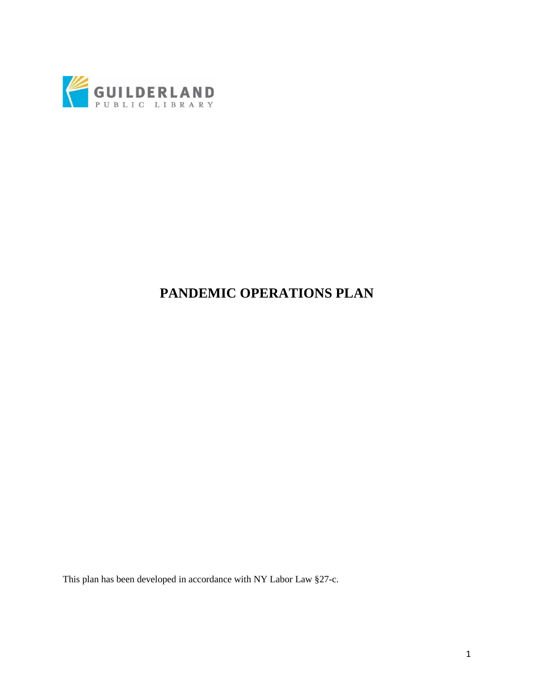

# **PANDEMIC OPERATIONS PLAN**

This plan has been developed in accordance with NY Labor Law §27-c.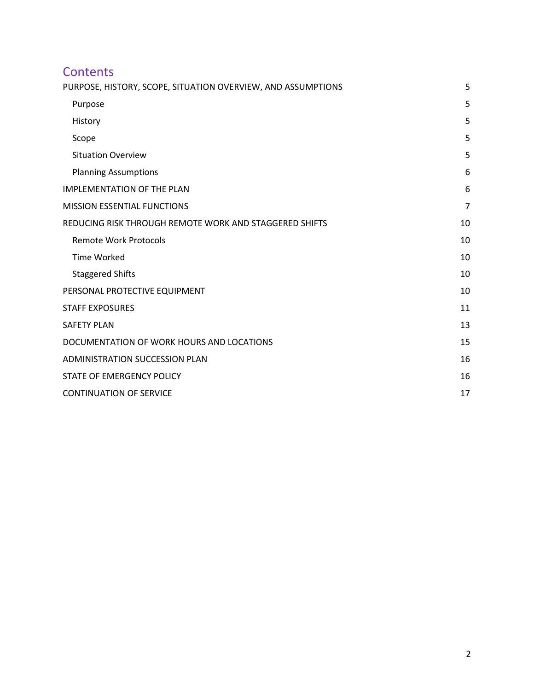# **Contents** PURPOSE, HISTORY, SCOPE, SITUATION OVERVIEW, AND ASSUMPTIONS 5 Purpose 5 and 5 and 5 and 5 and 5 and 5 and 5 and 5 and 5 and 5 and 5 and 5 and 5 and 5 and 5 and 5 and 5 and 5 History 5 Scope 5 and 5 and 5 and 5 and 5 and 5 and 5 and 5 and 5 and 5 and 5 and 5 and 5 and 5 and 5 and 5 and 5 and 5 Situation Overview 5 Planning Assumptions 6 IMPLEMENTATION OF THE PLAN 6 MISSION ESSENTIAL FUNCTIONS **7** REDUCING RISK THROUGH REMOTE WORK AND STAGGERED SHIFTS 10 Remote Work Protocols 10 Time Worked 20 and 20 and 20 and 20 and 20 and 20 and 20 and 20 and 20 and 20 and 20 and 20 and 20 and 20 and 20 and 20 and 20 and 20 and 20 and 20 and 20 and 20 and 20 and 20 and 20 and 20 and 20 and 20 and 20 and 20 and Staggered Shifts 10 PERSONAL PROTECTIVE EQUIPMENT 10 STAFF EXPOSURES 11 SAFETY PLAN 13 DOCUMENTATION OF WORK HOURS AND LOCATIONS 15 ADMINISTRATION SUCCESSION PLAN 16 STATE OF EMERGENCY POLICY 26 AU AND THE STATE OF EMERGENCY POLICY 2001 CONTINUATION OF SERVICE 17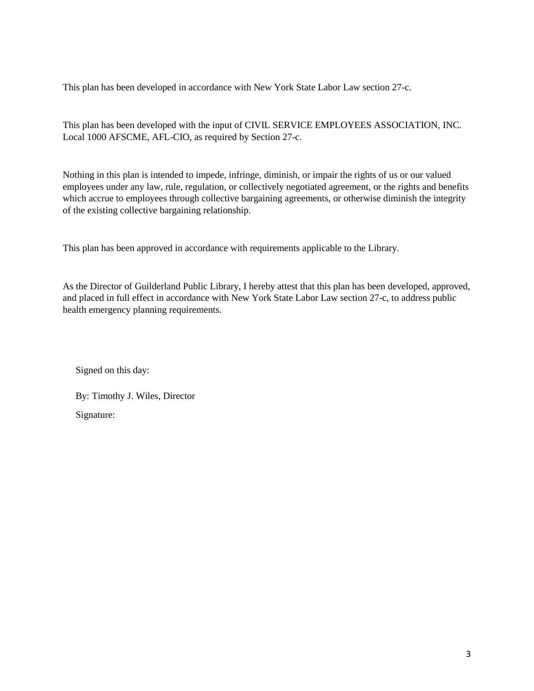This plan has been developed in accordance with New York State Labor Law section 27-c.

This plan has been developed with the input of CIVIL SERVICE EMPLOYEES ASSOCIATION, INC. Local 1000 AFSCME, AFL-CIO, as required by Section 27-c.

Nothing in this plan is intended to impede, infringe, diminish, or impair the rights of us or our valued employees under any law, rule, regulation, or collectively negotiated agreement, or the rights and benefits which accrue to employees through collective bargaining agreements, or otherwise diminish the integrity of the existing collective bargaining relationship.

This plan has been approved in accordance with requirements applicable to the Library.

As the Director of Guilderland Public Library, I hereby attest that this plan has been developed, approved, and placed in full effect in accordance with New York State Labor Law section 27-c, to address public health emergency planning requirements.

Signed on this day:

By: Timothy J. Wiles, Director Signature: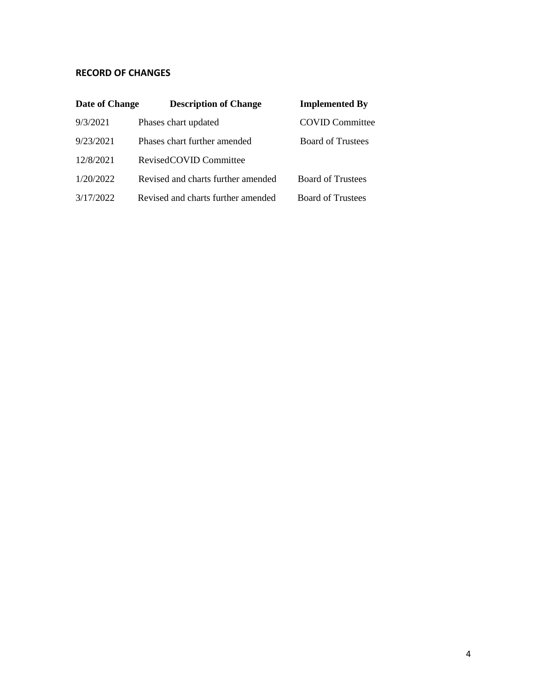### **RECORD OF CHANGES**

| Date of Change | <b>Description of Change</b>       | <b>Implemented By</b>    |
|----------------|------------------------------------|--------------------------|
| 9/3/2021       | Phases chart updated               | <b>COVID Committee</b>   |
| 9/23/2021      | Phases chart further amended       | <b>Board of Trustees</b> |
| 12/8/2021      | RevisedCOVID Committee             |                          |
| 1/20/2022      | Revised and charts further amended | <b>Board of Trustees</b> |
| 3/17/2022      | Revised and charts further amended | <b>Board of Trustees</b> |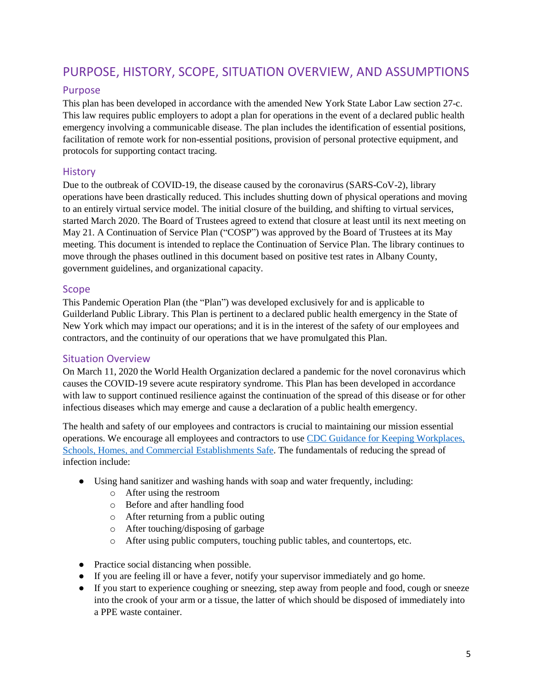## PURPOSE, HISTORY, SCOPE, SITUATION OVERVIEW, AND ASSUMPTIONS

### Purpose

This plan has been developed in accordance with the amended New York State Labor Law section 27-c. This law requires public employers to adopt a plan for operations in the event of a declared public health emergency involving a communicable disease. The plan includes the identification of essential positions, facilitation of remote work for non-essential positions, provision of personal protective equipment, and protocols for supporting contact tracing.

### **History**

Due to the outbreak of COVID-19, the disease caused by the coronavirus (SARS-CoV-2), library operations have been drastically reduced. This includes shutting down of physical operations and moving to an entirely virtual service model. The initial closure of the building, and shifting to virtual services, started March 2020. The Board of Trustees agreed to extend that closure at least until its next meeting on May 21. A Continuation of Service Plan ("COSP") was approved by the Board of Trustees at its May meeting. This document is intended to replace the Continuation of Service Plan. The library continues to move through the phases outlined in this document based on positive test rates in Albany County, government guidelines, and organizational capacity.

### Scope

This Pandemic Operation Plan (the "Plan") was developed exclusively for and is applicable to Guilderland Public Library. This Plan is pertinent to a declared public health emergency in the State of New York which may impact our operations; and it is in the interest of the safety of our employees and contractors, and the continuity of our operations that we have promulgated this Plan.

### Situation Overview

On March 11, 2020 the World Health Organization declared a pandemic for the novel coronavirus which causes the COVID-19 severe acute respiratory syndrome. This Plan has been developed in accordance with law to support continued resilience against the continuation of the spread of this disease or for other infectious diseases which may emerge and cause a declaration of a public health emergency.

The health and safety of our employees and contractors is crucial to maintaining our mission essential operations. We encourage all employees and contractors to use CDC Guidance for Keeping [Workplaces,](https://www.cdc.gov/coronavirus/2019-ncov/downloads/workplace-school-and-home-guidance.pdf) Schools, Homes, and Commercial [Establishments](https://www.cdc.gov/coronavirus/2019-ncov/downloads/workplace-school-and-home-guidance.pdf) Safe. The fundamentals of reducing the spread of infection include:

- Using hand sanitizer and washing hands with soap and water frequently, including:
	- o After using the restroom
	- o Before and after handling food
	- o After returning from a public outing
	- o After touching/disposing of garbage
	- o After using public computers, touching public tables, and countertops, etc.
- Practice social distancing when possible.
- If you are feeling ill or have a fever, notify your supervisor immediately and go home.
- If you start to experience coughing or sneezing, step away from people and food, cough or sneeze into the crook of your arm or a tissue, the latter of which should be disposed of immediately into a PPE waste container.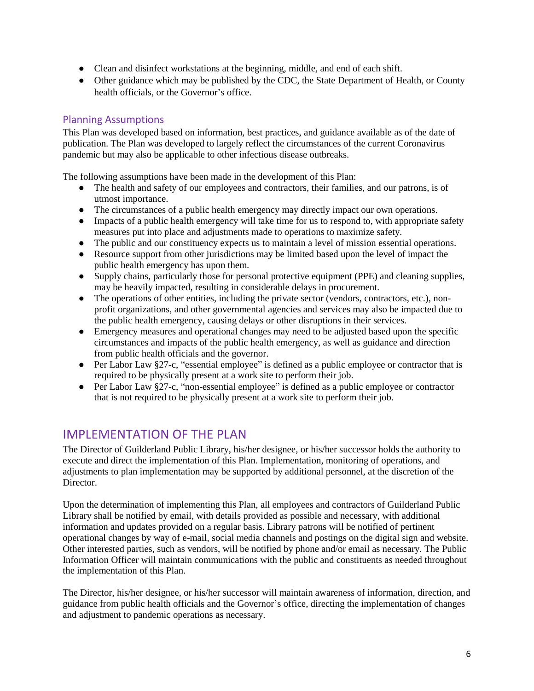- Clean and disinfect workstations at the beginning, middle, and end of each shift.
- Other guidance which may be published by the CDC, the State Department of Health, or County health officials, or the Governor's office.

### Planning Assumptions

This Plan was developed based on information, best practices, and guidance available as of the date of publication. The Plan was developed to largely reflect the circumstances of the current Coronavirus pandemic but may also be applicable to other infectious disease outbreaks.

The following assumptions have been made in the development of this Plan:

- The health and safety of our employees and contractors, their families, and our patrons, is of utmost importance.
- The circumstances of a public health emergency may directly impact our own operations.
- Impacts of a public health emergency will take time for us to respond to, with appropriate safety measures put into place and adjustments made to operations to maximize safety.
- The public and our constituency expects us to maintain a level of mission essential operations.
- Resource support from other jurisdictions may be limited based upon the level of impact the public health emergency has upon them.
- Supply chains, particularly those for personal protective equipment (PPE) and cleaning supplies, may be heavily impacted, resulting in considerable delays in procurement.
- The operations of other entities, including the private sector (vendors, contractors, etc.), nonprofit organizations, and other governmental agencies and services may also be impacted due to the public health emergency, causing delays or other disruptions in their services.
- Emergency measures and operational changes may need to be adjusted based upon the specific circumstances and impacts of the public health emergency, as well as guidance and direction from public health officials and the governor.
- Per Labor Law §27-c, "essential employee" is defined as a public employee or contractor that is required to be physically present at a work site to perform their job.
- Per Labor Law §27-c, "non-essential employee" is defined as a public employee or contractor that is not required to be physically present at a work site to perform their job.

### IMPI FMENTATION OF THE PLAN

The Director of Guilderland Public Library, his/her designee, or his/her successor holds the authority to execute and direct the implementation of this Plan. Implementation, monitoring of operations, and adjustments to plan implementation may be supported by additional personnel, at the discretion of the Director.

Upon the determination of implementing this Plan, all employees and contractors of Guilderland Public Library shall be notified by email, with details provided as possible and necessary, with additional information and updates provided on a regular basis. Library patrons will be notified of pertinent operational changes by way of e-mail, social media channels and postings on the digital sign and website. Other interested parties, such as vendors, will be notified by phone and/or email as necessary. The Public Information Officer will maintain communications with the public and constituents as needed throughout the implementation of this Plan.

The Director, his/her designee, or his/her successor will maintain awareness of information, direction, and guidance from public health officials and the Governor's office, directing the implementation of changes and adjustment to pandemic operations as necessary.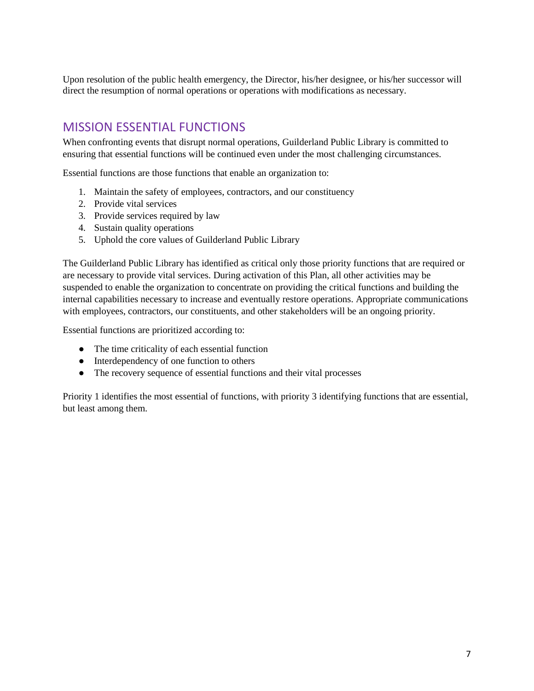Upon resolution of the public health emergency, the Director, his/her designee, or his/her successor will direct the resumption of normal operations or operations with modifications as necessary.

## MISSION ESSENTIAL FUNCTIONS

When confronting events that disrupt normal operations, Guilderland Public Library is committed to ensuring that essential functions will be continued even under the most challenging circumstances.

Essential functions are those functions that enable an organization to:

- 1. Maintain the safety of employees, contractors, and our constituency
- 2. Provide vital services
- 3. Provide services required by law
- 4. Sustain quality operations
- 5. Uphold the core values of Guilderland Public Library

The Guilderland Public Library has identified as critical only those priority functions that are required or are necessary to provide vital services. During activation of this Plan, all other activities may be suspended to enable the organization to concentrate on providing the critical functions and building the internal capabilities necessary to increase and eventually restore operations. Appropriate communications with employees, contractors, our constituents, and other stakeholders will be an ongoing priority.

Essential functions are prioritized according to:

- The time criticality of each essential function
- Interdependency of one function to others
- The recovery sequence of essential functions and their vital processes

Priority 1 identifies the most essential of functions, with priority 3 identifying functions that are essential, but least among them.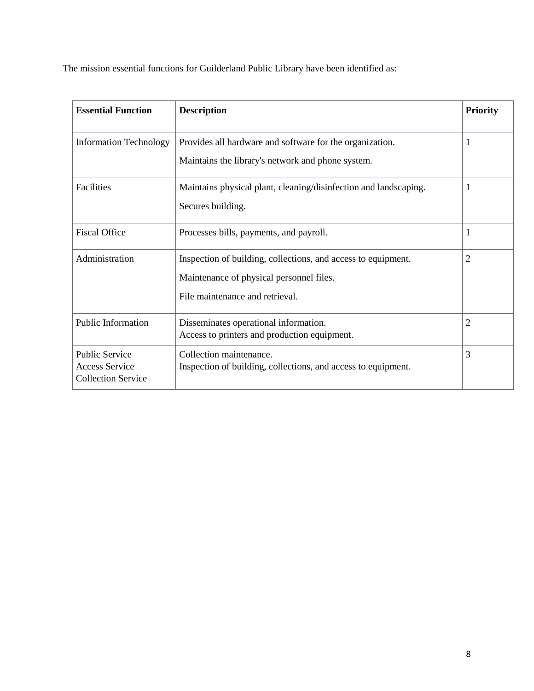The mission essential functions for Guilderland Public Library have been identified as:

| <b>Essential Function</b>                                                   | <b>Description</b>                                                                                                                           | <b>Priority</b> |
|-----------------------------------------------------------------------------|----------------------------------------------------------------------------------------------------------------------------------------------|-----------------|
| <b>Information Technology</b>                                               | Provides all hardware and software for the organization.<br>Maintains the library's network and phone system.                                |                 |
| Facilities                                                                  | Maintains physical plant, cleaning/disinfection and landscaping.<br>Secures building.                                                        |                 |
| <b>Fiscal Office</b>                                                        | Processes bills, payments, and payroll.                                                                                                      |                 |
| Administration                                                              | Inspection of building, collections, and access to equipment.<br>Maintenance of physical personnel files.<br>File maintenance and retrieval. | 2               |
| <b>Public Information</b>                                                   | Disseminates operational information.<br>Access to printers and production equipment.                                                        | 2               |
| <b>Public Service</b><br><b>Access Service</b><br><b>Collection Service</b> | Collection maintenance.<br>Inspection of building, collections, and access to equipment.                                                     | 3               |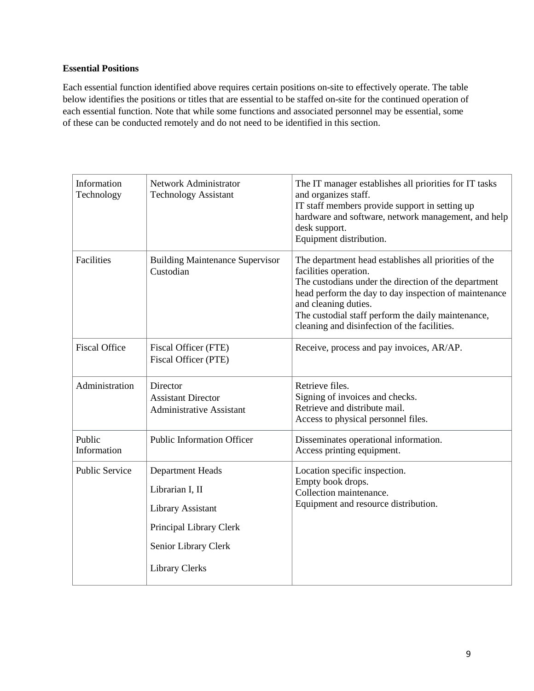#### **Essential Positions**

Each essential function identified above requires certain positions on-site to effectively operate. The table below identifies the positions or titles that are essential to be staffed on-site for the continued operation of each essential function. Note that while some functions and associated personnel may be essential, some of these can be conducted remotely and do not need to be identified in this section.

| Information<br>Technology | Network Administrator<br><b>Technology Assistant</b>                                                                                        | The IT manager establishes all priorities for IT tasks<br>and organizes staff.<br>IT staff members provide support in setting up<br>hardware and software, network management, and help<br>desk support.<br>Equipment distribution.                                                                                           |
|---------------------------|---------------------------------------------------------------------------------------------------------------------------------------------|-------------------------------------------------------------------------------------------------------------------------------------------------------------------------------------------------------------------------------------------------------------------------------------------------------------------------------|
| Facilities                | <b>Building Maintenance Supervisor</b><br>Custodian                                                                                         | The department head establishes all priorities of the<br>facilities operation.<br>The custodians under the direction of the department<br>head perform the day to day inspection of maintenance<br>and cleaning duties.<br>The custodial staff perform the daily maintenance,<br>cleaning and disinfection of the facilities. |
| <b>Fiscal Office</b>      | Fiscal Officer (FTE)<br>Fiscal Officer (PTE)                                                                                                | Receive, process and pay invoices, AR/AP.                                                                                                                                                                                                                                                                                     |
| Administration            | Director<br><b>Assistant Director</b><br><b>Administrative Assistant</b>                                                                    | Retrieve files.<br>Signing of invoices and checks.<br>Retrieve and distribute mail.<br>Access to physical personnel files.                                                                                                                                                                                                    |
| Public<br>Information     | <b>Public Information Officer</b>                                                                                                           | Disseminates operational information.<br>Access printing equipment.                                                                                                                                                                                                                                                           |
| <b>Public Service</b>     | <b>Department Heads</b><br>Librarian I, II<br>Library Assistant<br>Principal Library Clerk<br>Senior Library Clerk<br><b>Library Clerks</b> | Location specific inspection.<br>Empty book drops.<br>Collection maintenance.<br>Equipment and resource distribution.                                                                                                                                                                                                         |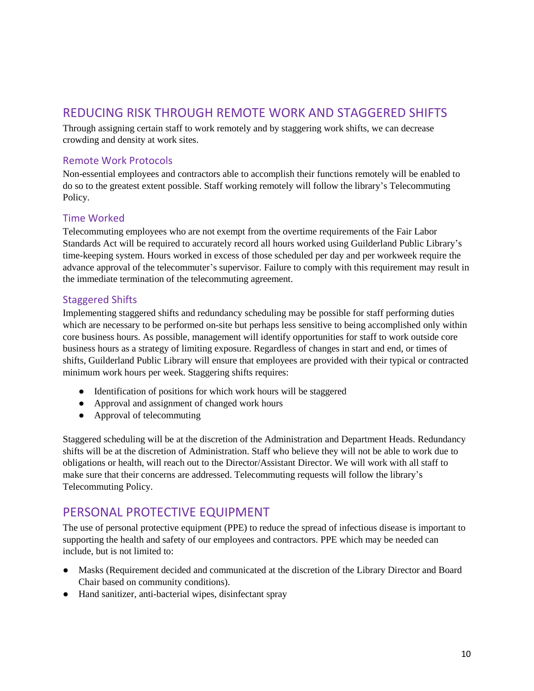### REDUCING RISK THROUGH REMOTE WORK AND STAGGERED SHIFTS

Through assigning certain staff to work remotely and by staggering work shifts, we can decrease crowding and density at work sites.

### Remote Work Protocols

Non-essential employees and contractors able to accomplish their functions remotely will be enabled to do so to the greatest extent possible. Staff working remotely will follow the library's Telecommuting Policy.

### Time Worked

Telecommuting employees who are not exempt from the overtime requirements of the Fair Labor Standards Act will be required to accurately record all hours worked using Guilderland Public Library's time-keeping system. Hours worked in excess of those scheduled per day and per workweek require the advance approval of the telecommuter's supervisor. Failure to comply with this requirement may result in the immediate termination of the telecommuting agreement.

### Staggered Shifts

Implementing staggered shifts and redundancy scheduling may be possible for staff performing duties which are necessary to be performed on-site but perhaps less sensitive to being accomplished only within core business hours. As possible, management will identify opportunities for staff to work outside core business hours as a strategy of limiting exposure. Regardless of changes in start and end, or times of shifts, Guilderland Public Library will ensure that employees are provided with their typical or contracted minimum work hours per week. Staggering shifts requires:

- Identification of positions for which work hours will be staggered
- Approval and assignment of changed work hours
- Approval of telecommuting

Staggered scheduling will be at the discretion of the Administration and Department Heads. Redundancy shifts will be at the discretion of Administration. Staff who believe they will not be able to work due to obligations or health, will reach out to the Director/Assistant Director. We will work with all staff to make sure that their concerns are addressed. Telecommuting requests will follow the library's Telecommuting Policy.

### PERSONAL PROTECTIVE EQUIPMENT

The use of personal protective equipment (PPE) to reduce the spread of infectious disease is important to supporting the health and safety of our employees and contractors. PPE which may be needed can include, but is not limited to:

- Masks (Requirement decided and communicated at the discretion of the Library Director and Board Chair based on community conditions).
- Hand sanitizer, anti-bacterial wipes, disinfectant spray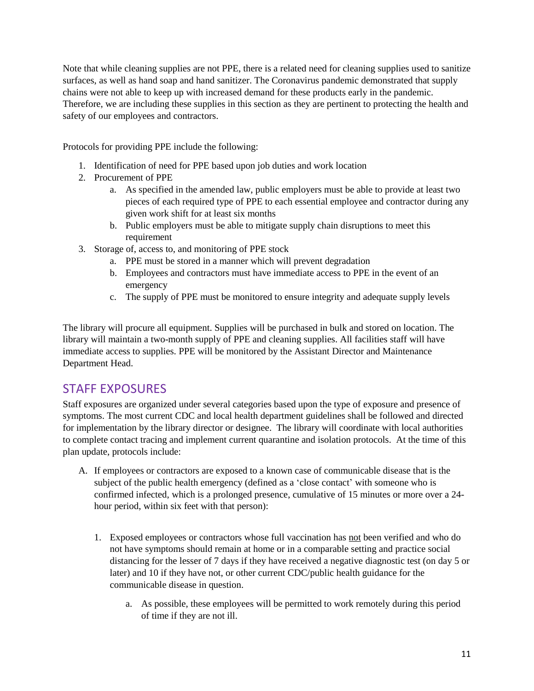Note that while cleaning supplies are not PPE, there is a related need for cleaning supplies used to sanitize surfaces, as well as hand soap and hand sanitizer. The Coronavirus pandemic demonstrated that supply chains were not able to keep up with increased demand for these products early in the pandemic. Therefore, we are including these supplies in this section as they are pertinent to protecting the health and safety of our employees and contractors.

Protocols for providing PPE include the following:

- 1. Identification of need for PPE based upon job duties and work location
- 2. Procurement of PPE
	- a. As specified in the amended law, public employers must be able to provide at least two pieces of each required type of PPE to each essential employee and contractor during any given work shift for at least six months
	- b. Public employers must be able to mitigate supply chain disruptions to meet this requirement
- 3. Storage of, access to, and monitoring of PPE stock
	- a. PPE must be stored in a manner which will prevent degradation
	- b. Employees and contractors must have immediate access to PPE in the event of an emergency
	- c. The supply of PPE must be monitored to ensure integrity and adequate supply levels

The library will procure all equipment. Supplies will be purchased in bulk and stored on location. The library will maintain a two-month supply of PPE and cleaning supplies. All facilities staff will have immediate access to supplies. PPE will be monitored by the Assistant Director and Maintenance Department Head.

### STAFF EXPOSURES

Staff exposures are organized under several categories based upon the type of exposure and presence of symptoms. The most current CDC and local health department guidelines shall be followed and directed for implementation by the library director or designee. The library will coordinate with local authorities to complete contact tracing and implement current quarantine and isolation protocols. At the time of this plan update, protocols include:

- A. If employees or contractors are exposed to a known case of communicable disease that is the subject of the public health emergency (defined as a 'close contact' with someone who is confirmed infected, which is a prolonged presence, cumulative of 15 minutes or more over a 24 hour period, within six feet with that person):
	- 1. Exposed employees or contractors whose full vaccination has not been verified and who do not have symptoms should remain at home or in a comparable setting and practice social distancing for the lesser of 7 days if they have received a negative diagnostic test (on day 5 or later) and 10 if they have not, or other current CDC/public health guidance for the communicable disease in question.
		- a. As possible, these employees will be permitted to work remotely during this period of time if they are not ill.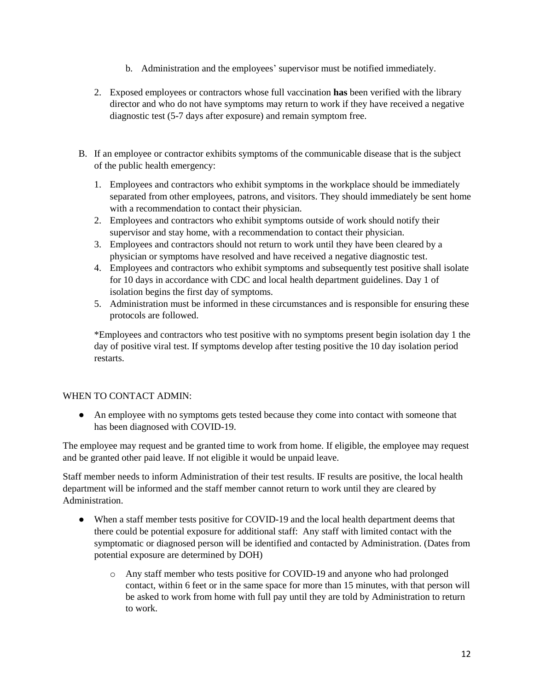- b. Administration and the employees' supervisor must be notified immediately.
- 2. Exposed employees or contractors whose full vaccination **has** been verified with the library director and who do not have symptoms may return to work if they have received a negative diagnostic test (5-7 days after exposure) and remain symptom free.
- B. If an employee or contractor exhibits symptoms of the communicable disease that is the subject of the public health emergency:
	- 1. Employees and contractors who exhibit symptoms in the workplace should be immediately separated from other employees, patrons, and visitors. They should immediately be sent home with a recommendation to contact their physician.
	- 2. Employees and contractors who exhibit symptoms outside of work should notify their supervisor and stay home, with a recommendation to contact their physician.
	- 3. Employees and contractors should not return to work until they have been cleared by a physician or symptoms have resolved and have received a negative diagnostic test.
	- 4. Employees and contractors who exhibit symptoms and subsequently test positive shall isolate for 10 days in accordance with CDC and local health department guidelines. Day 1 of isolation begins the first day of symptoms.
	- 5. Administration must be informed in these circumstances and is responsible for ensuring these protocols are followed.

\*Employees and contractors who test positive with no symptoms present begin isolation day 1 the day of positive viral test. If symptoms develop after testing positive the 10 day isolation period restarts.

### WHEN TO CONTACT ADMIN:

• An employee with no symptoms gets tested because they come into contact with someone that has been diagnosed with COVID-19.

The employee may request and be granted time to work from home. If eligible, the employee may request and be granted other paid leave. If not eligible it would be unpaid leave.

Staff member needs to inform Administration of their test results. IF results are positive, the local health department will be informed and the staff member cannot return to work until they are cleared by Administration.

- When a staff member tests positive for COVID-19 and the local health department deems that there could be potential exposure for additional staff: Any staff with limited contact with the symptomatic or diagnosed person will be identified and contacted by Administration. (Dates from potential exposure are determined by DOH)
	- o Any staff member who tests positive for COVID-19 and anyone who had prolonged contact, within 6 feet or in the same space for more than 15 minutes, with that person will be asked to work from home with full pay until they are told by Administration to return to work.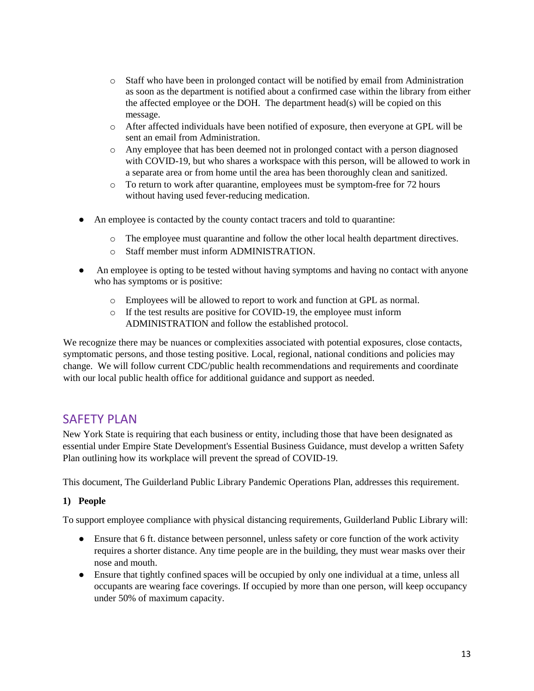- o Staff who have been in prolonged contact will be notified by email from Administration as soon as the department is notified about a confirmed case within the library from either the affected employee or the DOH. The department head(s) will be copied on this message.
- o After affected individuals have been notified of exposure, then everyone at GPL will be sent an email from Administration.
- o Any employee that has been deemed not in prolonged contact with a person diagnosed with COVID-19, but who shares a workspace with this person, will be allowed to work in a separate area or from home until the area has been thoroughly clean and sanitized.
- o To return to work after quarantine, employees must be symptom-free for 72 hours without having used fever-reducing medication.
- An employee is contacted by the county contact tracers and told to quarantine:
	- o The employee must quarantine and follow the other local health department directives.
	- o Staff member must inform ADMINISTRATION.
- An employee is opting to be tested without having symptoms and having no contact with anyone who has symptoms or is positive:
	- o Employees will be allowed to report to work and function at GPL as normal.
	- o If the test results are positive for COVID-19, the employee must inform ADMINISTRATION and follow the established protocol.

We recognize there may be nuances or complexities associated with potential exposures, close contacts, symptomatic persons, and those testing positive. Local, regional, national conditions and policies may change. We will follow current CDC/public health recommendations and requirements and coordinate with our local public health office for additional guidance and support as needed.

### **SAFFTY PLAN**

New York State is requiring that each business or entity, including those that have been designated as essential under Empire State Development's Essential Business Guidance, must develop a written Safety Plan outlining how its workplace will prevent the spread of COVID-19.

This document, The Guilderland Public Library Pandemic Operations Plan, addresses this requirement.

### **1) People**

To support employee compliance with physical distancing requirements, Guilderland Public Library will:

- Ensure that 6 ft. distance between personnel, unless safety or core function of the work activity requires a shorter distance. Any time people are in the building, they must wear masks over their nose and mouth.
- Ensure that tightly confined spaces will be occupied by only one individual at a time, unless all occupants are wearing face coverings. If occupied by more than one person, will keep occupancy under 50% of maximum capacity.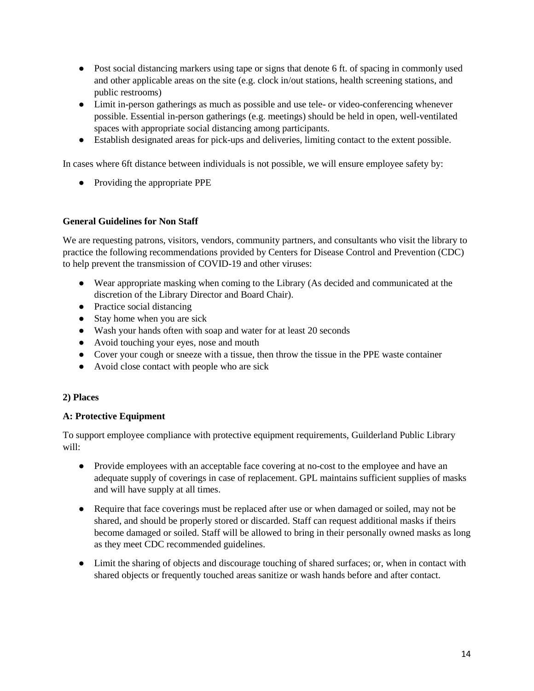- Post social distancing markers using tape or signs that denote 6 ft. of spacing in commonly used and other applicable areas on the site (e.g. clock in/out stations, health screening stations, and public restrooms)
- Limit in-person gatherings as much as possible and use tele- or video-conferencing whenever possible. Essential in-person gatherings (e.g. meetings) should be held in open, well-ventilated spaces with appropriate social distancing among participants.
- Establish designated areas for pick-ups and deliveries, limiting contact to the extent possible.

In cases where 6ft distance between individuals is not possible, we will ensure employee safety by:

● Providing the appropriate PPE

### **General Guidelines for Non Staff**

We are requesting patrons, visitors, vendors, community partners, and consultants who visit the library to practice the following recommendations provided by Centers for Disease Control and Prevention (CDC) to help prevent the transmission of COVID-19 and other viruses:

- Wear appropriate masking when coming to the Library (As decided and communicated at the discretion of the Library Director and Board Chair).
- Practice social distancing
- Stay home when you are sick
- Wash your hands often with soap and water for at least 20 seconds
- Avoid touching your eyes, nose and mouth
- Cover your cough or sneeze with a tissue, then throw the tissue in the PPE waste container
- Avoid close contact with people who are sick

### **2) Places**

### **A: Protective Equipment**

To support employee compliance with protective equipment requirements, Guilderland Public Library will:

- Provide employees with an acceptable face covering at no-cost to the employee and have an adequate supply of coverings in case of replacement. GPL maintains sufficient supplies of masks and will have supply at all times.
- Require that face coverings must be replaced after use or when damaged or soiled, may not be shared, and should be properly stored or discarded. Staff can request additional masks if theirs become damaged or soiled. Staff will be allowed to bring in their personally owned masks as long as they meet CDC recommended guidelines.
- Limit the sharing of objects and discourage touching of shared surfaces; or, when in contact with shared objects or frequently touched areas sanitize or wash hands before and after contact.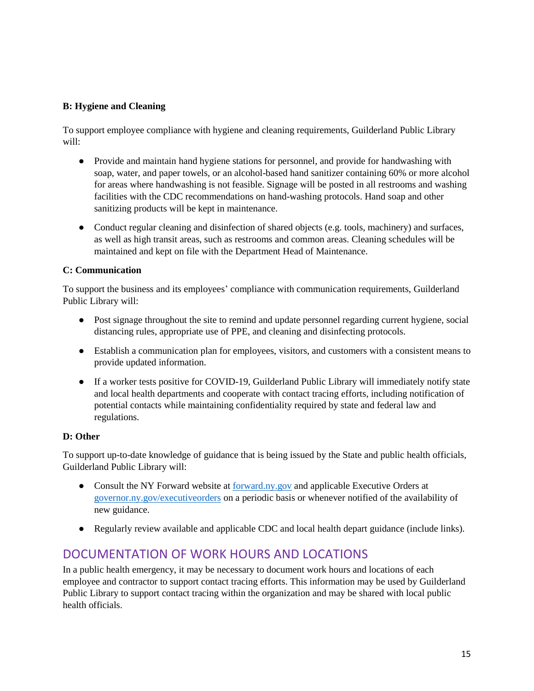#### **B: Hygiene and Cleaning**

To support employee compliance with hygiene and cleaning requirements, Guilderland Public Library will:

- Provide and maintain hand hygiene stations for personnel, and provide for handwashing with soap, water, and paper towels, or an alcohol-based hand sanitizer containing 60% or more alcohol for areas where handwashing is not feasible. Signage will be posted in all restrooms and washing facilities with the CDC recommendations on hand-washing protocols. Hand soap and other sanitizing products will be kept in maintenance.
- Conduct regular cleaning and disinfection of shared objects (e.g. tools, machinery) and surfaces, as well as high transit areas, such as restrooms and common areas. Cleaning schedules will be maintained and kept on file with the Department Head of Maintenance.

#### **C: Communication**

To support the business and its employees' compliance with communication requirements, Guilderland Public Library will:

- Post signage throughout the site to remind and update personnel regarding current hygiene, social distancing rules, appropriate use of PPE, and cleaning and disinfecting protocols.
- Establish a communication plan for employees, visitors, and customers with a consistent means to provide updated information.
- If a worker tests positive for COVID-19, Guilderland Public Library will immediately notify state and local health departments and cooperate with contact tracing efforts, including notification of potential contacts while maintaining confidentiality required by state and federal law and regulations.

### **D: Other**

To support up-to-date knowledge of guidance that is being issued by the State and public health officials, Guilderland Public Library will:

- Consult the NY Forward website at [forward.ny.gov](https://forward.ny.gov/) and applicable Executive Orders at [governor.ny.gov/executiveorders](https://www.governor.ny.gov/executiveorders) on a periodic basis or whenever notified of the availability of new guidance.
- Regularly review available and applicable CDC and local health depart guidance (include links).

### DOCUMENTATION OF WORK HOURS AND LOCATIONS

In a public health emergency, it may be necessary to document work hours and locations of each employee and contractor to support contact tracing efforts. This information may be used by Guilderland Public Library to support contact tracing within the organization and may be shared with local public health officials.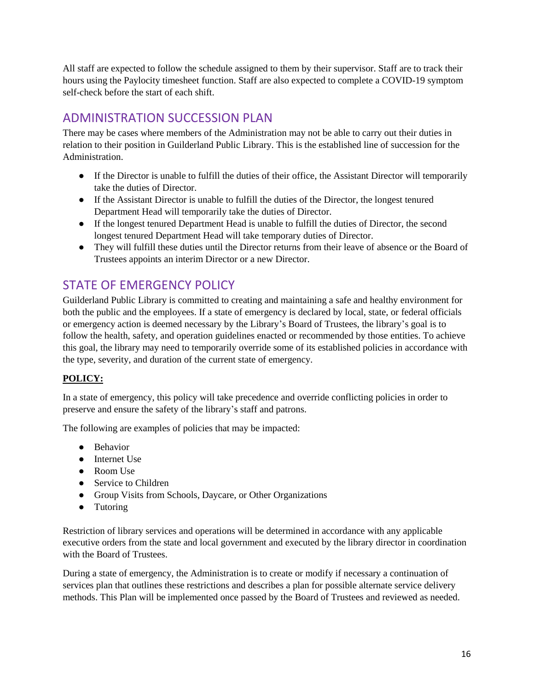All staff are expected to follow the schedule assigned to them by their supervisor. Staff are to track their hours using the Paylocity timesheet function. Staff are also expected to complete a COVID-19 symptom self-check before the start of each shift.

# ADMINISTRATION SUCCESSION PLAN

There may be cases where members of the Administration may not be able to carry out their duties in relation to their position in Guilderland Public Library. This is the established line of succession for the Administration.

- If the Director is unable to fulfill the duties of their office, the Assistant Director will temporarily take the duties of Director.
- If the Assistant Director is unable to fulfill the duties of the Director, the longest tenured Department Head will temporarily take the duties of Director.
- If the longest tenured Department Head is unable to fulfill the duties of Director, the second longest tenured Department Head will take temporary duties of Director.
- They will fulfill these duties until the Director returns from their leave of absence or the Board of Trustees appoints an interim Director or a new Director.

## STATE OF EMERGENCY POLICY

Guilderland Public Library is committed to creating and maintaining a safe and healthy environment for both the public and the employees. If a state of emergency is declared by local, state, or federal officials or emergency action is deemed necessary by the Library's Board of Trustees, the library's goal is to follow the health, safety, and operation guidelines enacted or recommended by those entities. To achieve this goal, the library may need to temporarily override some of its established policies in accordance with the type, severity, and duration of the current state of emergency.

### **POLICY:**

In a state of emergency, this policy will take precedence and override conflicting policies in order to preserve and ensure the safety of the library's staff and patrons.

The following are examples of policies that may be impacted:

- Behavior
- Internet Use
- Room Use
- Service to Children
- Group Visits from Schools, Daycare, or Other Organizations
- Tutoring

Restriction of library services and operations will be determined in accordance with any applicable executive orders from the state and local government and executed by the library director in coordination with the Board of Trustees.

During a state of emergency, the Administration is to create or modify if necessary a continuation of services plan that outlines these restrictions and describes a plan for possible alternate service delivery methods. This Plan will be implemented once passed by the Board of Trustees and reviewed as needed.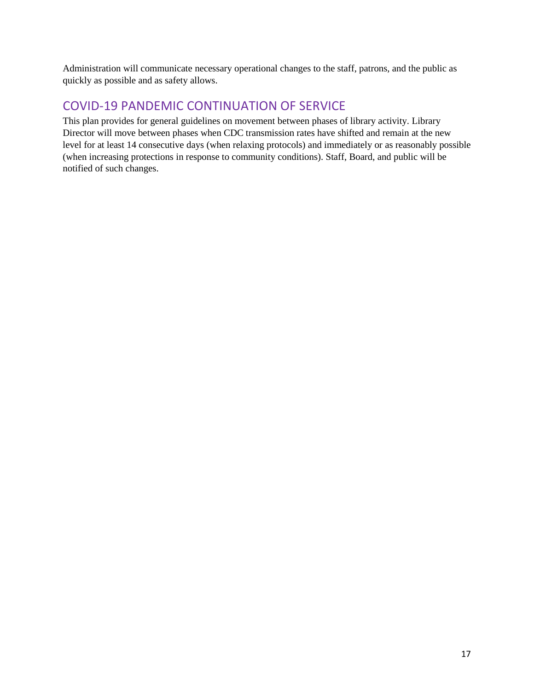Administration will communicate necessary operational changes to the staff, patrons, and the public as quickly as possible and as safety allows.

## COVID-19 PANDEMIC CONTINUATION OF SERVICE

This plan provides for general guidelines on movement between phases of library activity. Library Director will move between phases when CDC transmission rates have shifted and remain at the new level for at least 14 consecutive days (when relaxing protocols) and immediately or as reasonably possible (when increasing protections in response to community conditions). Staff, Board, and public will be notified of such changes.